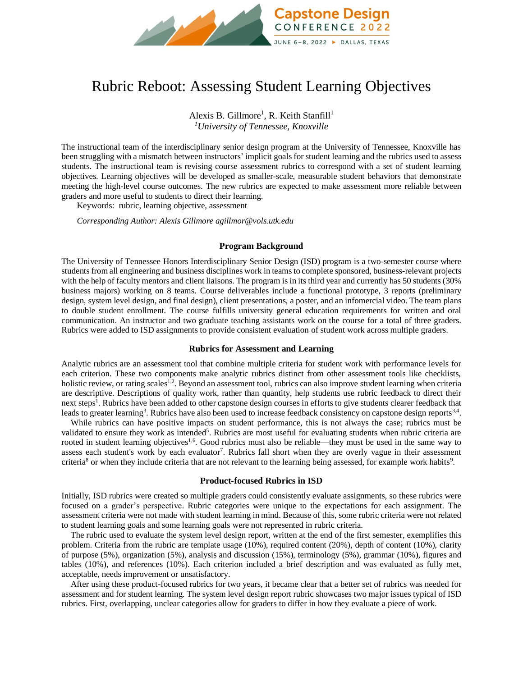

# Rubric Reboot: Assessing Student Learning Objectives

Alexis B. Gillmore<sup>1</sup>, R. Keith Stanfill<sup>1</sup> *<sup>1</sup>University of Tennessee, Knoxville*

The instructional team of the interdisciplinary senior design program at the University of Tennessee, Knoxville has been struggling with a mismatch between instructors' implicit goals for student learning and the rubrics used to assess students. The instructional team is revising course assessment rubrics to correspond with a set of student learning objectives. Learning objectives will be developed as smaller-scale, measurable student behaviors that demonstrate meeting the high-level course outcomes. The new rubrics are expected to make assessment more reliable between graders and more useful to students to direct their learning.

Keywords:rubric, learning objective, assessment

*Corresponding Author: Alexis Gillmore agillmor@vols.utk.edu*

# **Program Background**

The University of Tennessee Honors Interdisciplinary Senior Design (ISD) program is a two-semester course where students from all engineering and business disciplines work in teams to complete sponsored, business-relevant projects with the help of faculty mentors and client liaisons. The program is in its third year and currently has 50 students (30% business majors) working on 8 teams. Course deliverables include a functional prototype, 3 reports (preliminary design, system level design, and final design), client presentations, a poster, and an infomercial video. The team plans to double student enrollment. The course fulfills university general education requirements for written and oral communication. An instructor and two graduate teaching assistants work on the course for a total of three graders. Rubrics were added to ISD assignments to provide consistent evaluation of student work across multiple graders.

### **Rubrics for Assessment and Learning**

Analytic rubrics are an assessment tool that combine multiple criteria for student work with performance levels for each criterion. These two components make analytic rubrics distinct from other assessment tools like checklists, holistic review, or rating scales<sup>1,2</sup>. Beyond an assessment tool, rubrics can also improve student learning when criteria are descriptive. Descriptions of quality work, rather than quantity, help students use rubric feedback to direct their next steps<sup>1</sup>. Rubrics have been added to other capstone design courses in efforts to give students clearer feedback that leads to greater learning<sup>3</sup>. Rubrics have also been used to increase feedback consistency on capstone design reports<sup>3,4</sup>.

While rubrics can have positive impacts on student performance, this is not always the case; rubrics must be validated to ensure they work as intended<sup>5</sup>. Rubrics are most useful for evaluating students when rubric criteria are rooted in student learning objectives<sup>1,6</sup>. Good rubrics must also be reliable—they must be used in the same way to assess each student's work by each evaluator<sup>7</sup>. Rubrics fall short when they are overly vague in their assessment criteria<sup>8</sup> or when they include criteria that are not relevant to the learning being assessed, for example work habits<sup>9</sup>.

## **Product-focused Rubrics in ISD**

Initially, ISD rubrics were created so multiple graders could consistently evaluate assignments, so these rubrics were focused on a grader's perspective. Rubric categories were unique to the expectations for each assignment. The assessment criteria were not made with student learning in mind. Because of this, some rubric criteria were not related to student learning goals and some learning goals were not represented in rubric criteria.

The rubric used to evaluate the system level design report, written at the end of the first semester, exemplifies this problem. Criteria from the rubric are template usage (10%), required content (20%), depth of content (10%), clarity of purpose (5%), organization (5%), analysis and discussion (15%), terminology (5%), grammar (10%), figures and tables (10%), and references (10%). Each criterion included a brief description and was evaluated as fully met, acceptable, needs improvement or unsatisfactory.

After using these product-focused rubrics for two years, it became clear that a better set of rubrics was needed for assessment and for student learning. The system level design report rubric showcases two major issues typical of ISD rubrics. First, overlapping, unclear categories allow for graders to differ in how they evaluate a piece of work.